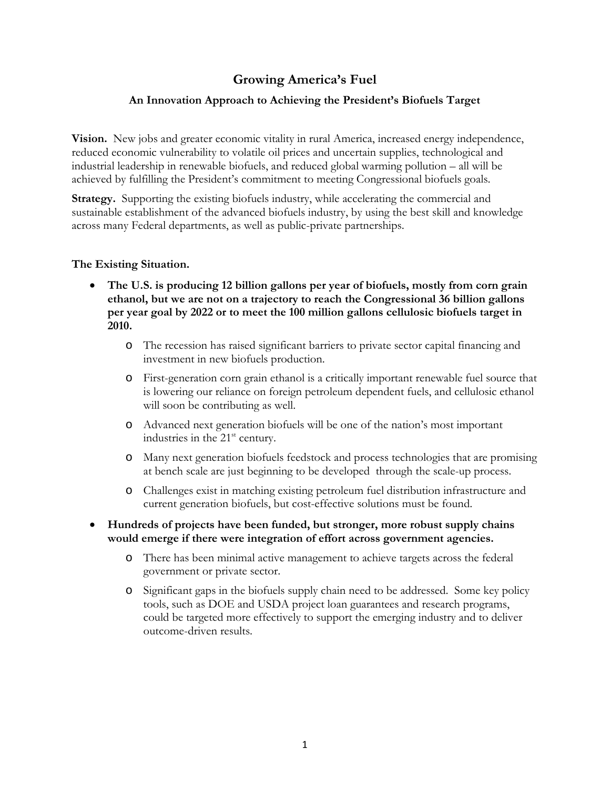# **Growing America's Fuel**

## **An Innovation Approach to Achieving the President's Biofuels Target**

**Vision.** New jobs and greater economic vitality in rural America, increased energy independence, reduced economic vulnerability to volatile oil prices and uncertain supplies, technological and industrial leadership in renewable biofuels, and reduced global warming pollution – all will be achieved by fulfilling the President's commitment to meeting Congressional biofuels goals.

**Strategy.** Supporting the existing biofuels industry, while accelerating the commercial and sustainable establishment of the advanced biofuels industry, by using the best skill and knowledge across many Federal departments, as well as public-private partnerships.

## **The Existing Situation.**

- **The U.S. is producing 12 billion gallons per year of biofuels, mostly from corn grain ethanol, but we are not on a trajectory to reach the Congressional 36 billion gallons per year goal by 2022 or to meet the 100 million gallons cellulosic biofuels target in 2010.**
	- o The recession has raised significant barriers to private sector capital financing and investment in new biofuels production.
	- o First-generation corn grain ethanol is a critically important renewable fuel source that is lowering our reliance on foreign petroleum dependent fuels, and cellulosic ethanol will soon be contributing as well.
	- o Advanced next generation biofuels will be one of the nation's most important industries in the  $21<sup>st</sup>$  century.
	- o Many next generation biofuels feedstock and process technologies that are promising at bench scale are just beginning to be developed through the scale-up process.
	- o Challenges exist in matching existing petroleum fuel distribution infrastructure and current generation biofuels, but cost-effective solutions must be found.
- **Hundreds of projects have been funded, but stronger, more robust supply chains would emerge if there were integration of effort across government agencies.**
	- o There has been minimal active management to achieve targets across the federal government or private sector.
	- o Significant gaps in the biofuels supply chain need to be addressed. Some key policy tools, such as DOE and USDA project loan guarantees and research programs, could be targeted more effectively to support the emerging industry and to deliver outcome-driven results.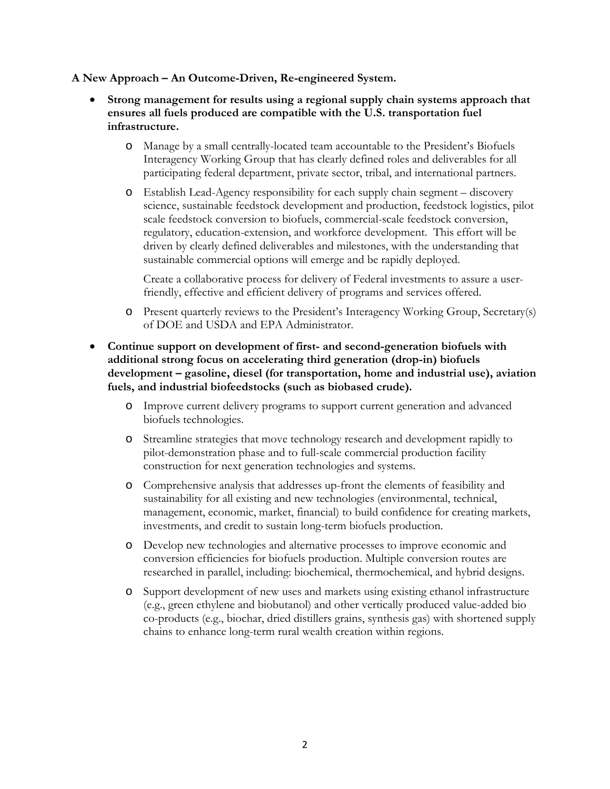## **A New Approach – An Outcome-Driven, Re-engineered System.**

- **Strong management for results using a regional supply chain systems approach that ensures all fuels produced are compatible with the U.S. transportation fuel infrastructure.**
	- o Manage by a small centrally-located team accountable to the President's Biofuels Interagency Working Group that has clearly defined roles and deliverables for all participating federal department, private sector, tribal, and international partners.
	- o Establish Lead-Agency responsibility for each supply chain segment discovery science, sustainable feedstock development and production, feedstock logistics, pilot scale feedstock conversion to biofuels, commercial-scale feedstock conversion, regulatory, education-extension, and workforce development. This effort will be driven by clearly defined deliverables and milestones, with the understanding that sustainable commercial options will emerge and be rapidly deployed.

Create a collaborative process for delivery of Federal investments to assure a userfriendly, effective and efficient delivery of programs and services offered.

- o Present quarterly reviews to the President's Interagency Working Group, Secretary(s) of DOE and USDA and EPA Administrator.
- **Continue support on development of first- and second-generation biofuels with additional strong focus on accelerating third generation (drop-in) biofuels development – gasoline, diesel (for transportation, home and industrial use), aviation fuels, and industrial biofeedstocks (such as biobased crude).**
	- o Improve current delivery programs to support current generation and advanced biofuels technologies.
	- o Streamline strategies that move technology research and development rapidly to pilot-demonstration phase and to full-scale commercial production facility construction for next generation technologies and systems.
	- o Comprehensive analysis that addresses up-front the elements of feasibility and sustainability for all existing and new technologies (environmental, technical, management, economic, market, financial) to build confidence for creating markets, investments, and credit to sustain long-term biofuels production.
	- o Develop new technologies and alternative processes to improve economic and conversion efficiencies for biofuels production. Multiple conversion routes are researched in parallel, including: biochemical, thermochemical, and hybrid designs.
	- o Support development of new uses and markets using existing ethanol infrastructure (e.g., green ethylene and biobutanol) and other vertically produced value-added bio co-products (e.g., biochar, dried distillers grains, synthesis gas) with shortened supply chains to enhance long-term rural wealth creation within regions.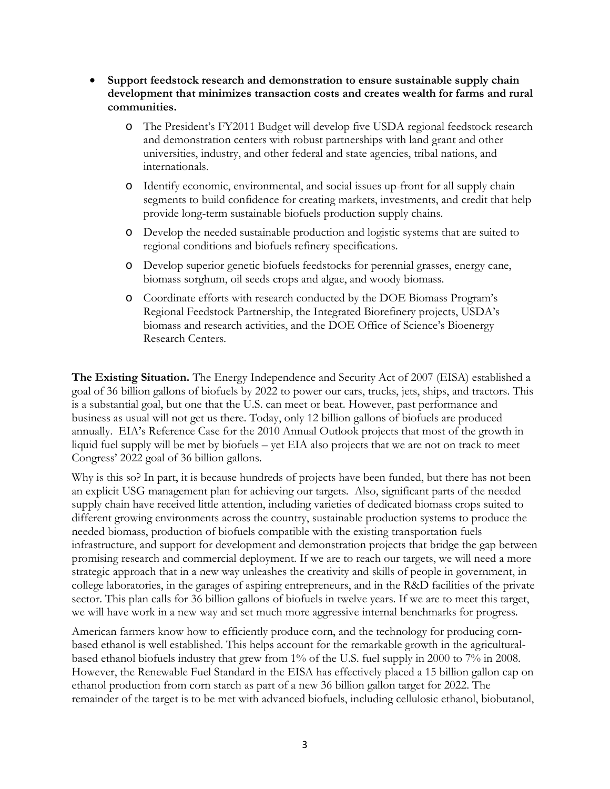- **Support feedstock research and demonstration to ensure sustainable supply chain development that minimizes transaction costs and creates wealth for farms and rural communities.** 
	- o The President's FY2011 Budget will develop five USDA regional feedstock research and demonstration centers with robust partnerships with land grant and other universities, industry, and other federal and state agencies, tribal nations, and internationals.
	- o Identify economic, environmental, and social issues up-front for all supply chain segments to build confidence for creating markets, investments, and credit that help provide long-term sustainable biofuels production supply chains.
	- o Develop the needed sustainable production and logistic systems that are suited to regional conditions and biofuels refinery specifications.
	- o Develop superior genetic biofuels feedstocks for perennial grasses, energy cane, biomass sorghum, oil seeds crops and algae, and woody biomass.
	- o Coordinate efforts with research conducted by the DOE Biomass Program's Regional Feedstock Partnership, the Integrated Biorefinery projects, USDA's biomass and research activities, and the DOE Office of Science's Bioenergy Research Centers.

**The Existing Situation.** The Energy Independence and Security Act of 2007 (EISA) established a goal of 36 billion gallons of biofuels by 2022 to power our cars, trucks, jets, ships, and tractors. This is a substantial goal, but one that the U.S. can meet or beat. However, past performance and business as usual will not get us there. Today, only 12 billion gallons of biofuels are produced annually. EIA's Reference Case for the 2010 Annual Outlook projects that most of the growth in liquid fuel supply will be met by biofuels – yet EIA also projects that we are not on track to meet Congress' 2022 goal of 36 billion gallons.

Why is this so? In part, it is because hundreds of projects have been funded, but there has not been an explicit USG management plan for achieving our targets. Also, significant parts of the needed supply chain have received little attention, including varieties of dedicated biomass crops suited to different growing environments across the country, sustainable production systems to produce the needed biomass, production of biofuels compatible with the existing transportation fuels infrastructure, and support for development and demonstration projects that bridge the gap between promising research and commercial deployment. If we are to reach our targets, we will need a more strategic approach that in a new way unleashes the creativity and skills of people in government, in college laboratories, in the garages of aspiring entrepreneurs, and in the R&D facilities of the private sector. This plan calls for 36 billion gallons of biofuels in twelve years. If we are to meet this target, we will have work in a new way and set much more aggressive internal benchmarks for progress.

American farmers know how to efficiently produce corn, and the technology for producing cornbased ethanol is well established. This helps account for the remarkable growth in the agriculturalbased ethanol biofuels industry that grew from 1% of the U.S. fuel supply in 2000 to 7% in 2008. However, the Renewable Fuel Standard in the EISA has effectively placed a 15 billion gallon cap on ethanol production from corn starch as part of a new 36 billion gallon target for 2022. The remainder of the target is to be met with advanced biofuels, including cellulosic ethanol, biobutanol,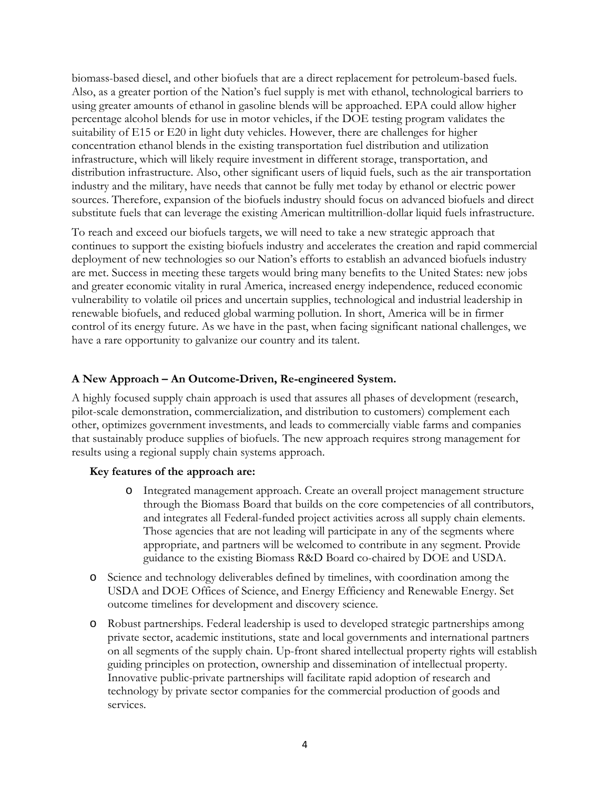biomass-based diesel, and other biofuels that are a direct replacement for petroleum-based fuels. Also, as a greater portion of the Nation's fuel supply is met with ethanol, technological barriers to using greater amounts of ethanol in gasoline blends will be approached. EPA could allow higher percentage alcohol blends for use in motor vehicles, if the DOE testing program validates the suitability of E15 or E20 in light duty vehicles. However, there are challenges for higher concentration ethanol blends in the existing transportation fuel distribution and utilization infrastructure, which will likely require investment in different storage, transportation, and distribution infrastructure. Also, other significant users of liquid fuels, such as the air transportation industry and the military, have needs that cannot be fully met today by ethanol or electric power sources. Therefore, expansion of the biofuels industry should focus on advanced biofuels and direct substitute fuels that can leverage the existing American multitrillion-dollar liquid fuels infrastructure.

To reach and exceed our biofuels targets, we will need to take a new strategic approach that continues to support the existing biofuels industry and accelerates the creation and rapid commercial deployment of new technologies so our Nation's efforts to establish an advanced biofuels industry are met. Success in meeting these targets would bring many benefits to the United States: new jobs and greater economic vitality in rural America, increased energy independence, reduced economic vulnerability to volatile oil prices and uncertain supplies, technological and industrial leadership in renewable biofuels, and reduced global warming pollution. In short, America will be in firmer control of its energy future. As we have in the past, when facing significant national challenges, we have a rare opportunity to galvanize our country and its talent.

## **A New Approach – An Outcome-Driven, Re-engineered System.**

A highly focused supply chain approach is used that assures all phases of development (research, pilot-scale demonstration, commercialization, and distribution to customers) complement each other, optimizes government investments, and leads to commercially viable farms and companies that sustainably produce supplies of biofuels. The new approach requires strong management for results using a regional supply chain systems approach.

## **Key features of the approach are:**

- o Integrated management approach. Create an overall project management structure through the Biomass Board that builds on the core competencies of all contributors, and integrates all Federal-funded project activities across all supply chain elements. Those agencies that are not leading will participate in any of the segments where appropriate, and partners will be welcomed to contribute in any segment. Provide guidance to the existing Biomass R&D Board co-chaired by DOE and USDA.
- o Science and technology deliverables defined by timelines, with coordination among the USDA and DOE Offices of Science, and Energy Efficiency and Renewable Energy. Set outcome timelines for development and discovery science.
- o Robust partnerships. Federal leadership is used to developed strategic partnerships among private sector, academic institutions, state and local governments and international partners on all segments of the supply chain. Up-front shared intellectual property rights will establish guiding principles on protection, ownership and dissemination of intellectual property. Innovative public-private partnerships will facilitate rapid adoption of research and technology by private sector companies for the commercial production of goods and services.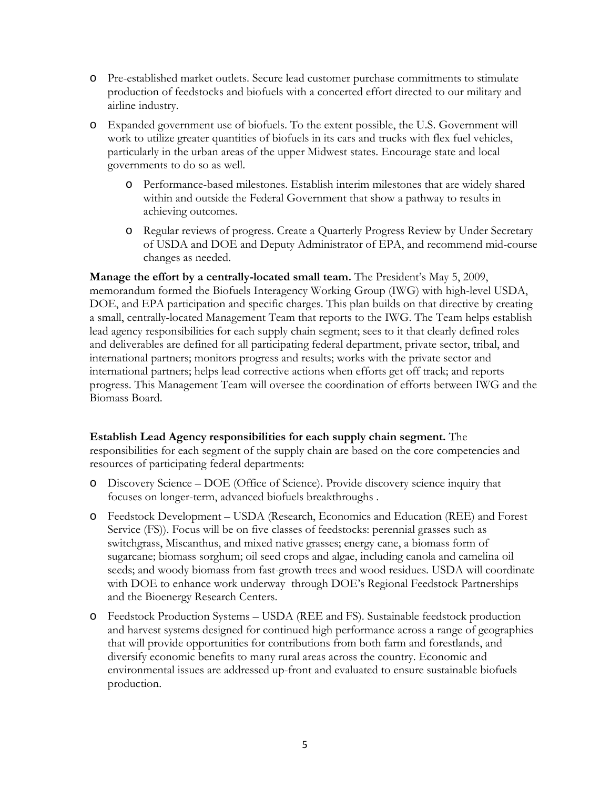- o Pre-established market outlets. Secure lead customer purchase commitments to stimulate production of feedstocks and biofuels with a concerted effort directed to our military and airline industry.
- o Expanded government use of biofuels. To the extent possible, the U.S. Government will work to utilize greater quantities of biofuels in its cars and trucks with flex fuel vehicles, particularly in the urban areas of the upper Midwest states. Encourage state and local governments to do so as well.
	- o Performance-based milestones. Establish interim milestones that are widely shared within and outside the Federal Government that show a pathway to results in achieving outcomes.
	- o Regular reviews of progress. Create a Quarterly Progress Review by Under Secretary of USDA and DOE and Deputy Administrator of EPA, and recommend mid-course changes as needed.

**Manage the effort by a centrally-located small team.** The President's May 5, 2009, memorandum formed the Biofuels Interagency Working Group (IWG) with high-level USDA, DOE, and EPA participation and specific charges. This plan builds on that directive by creating a small, centrally-located Management Team that reports to the IWG. The Team helps establish lead agency responsibilities for each supply chain segment; sees to it that clearly defined roles and deliverables are defined for all participating federal department, private sector, tribal, and international partners; monitors progress and results; works with the private sector and international partners; helps lead corrective actions when efforts get off track; and reports progress. This Management Team will oversee the coordination of efforts between IWG and the Biomass Board.

## **Establish Lead Agency responsibilities for each supply chain segment.** The

responsibilities for each segment of the supply chain are based on the core competencies and resources of participating federal departments:

- o Discovery Science DOE (Office of Science). Provide discovery science inquiry that focuses on longer-term, advanced biofuels breakthroughs .
- o Feedstock Development USDA (Research, Economics and Education (REE) and Forest Service (FS)). Focus will be on five classes of feedstocks: perennial grasses such as switchgrass, Miscanthus, and mixed native grasses; energy cane, a biomass form of sugarcane; biomass sorghum; oil seed crops and algae, including canola and camelina oil seeds; and woody biomass from fast-growth trees and wood residues. USDA will coordinate with DOE to enhance work underway through DOE's Regional Feedstock Partnerships and the Bioenergy Research Centers.
- o Feedstock Production Systems USDA (REE and FS). Sustainable feedstock production and harvest systems designed for continued high performance across a range of geographies that will provide opportunities for contributions from both farm and forestlands, and diversify economic benefits to many rural areas across the country. Economic and environmental issues are addressed up-front and evaluated to ensure sustainable biofuels production.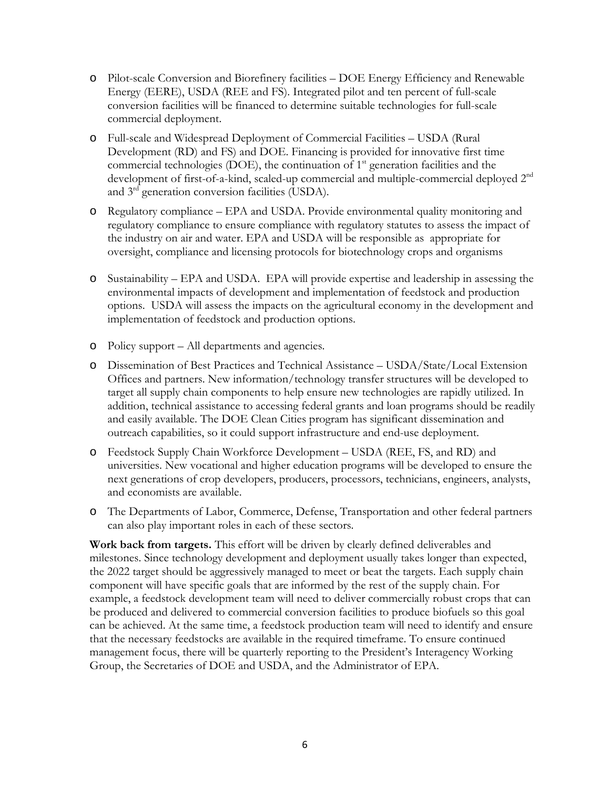- o Pilot-scale Conversion and Biorefinery facilities DOE Energy Efficiency and Renewable Energy (EERE), USDA (REE and FS). Integrated pilot and ten percent of full-scale conversion facilities will be financed to determine suitable technologies for full-scale commercial deployment.
- o Full-scale and Widespread Deployment of Commercial Facilities USDA (Rural Development (RD) and FS) and DOE. Financing is provided for innovative first time commercial technologies (DOE), the continuation of  $1<sup>st</sup>$  generation facilities and the development of first-of-a-kind, scaled-up commercial and multiple-commercial deployed 2<sup>nd</sup> and 3rd generation conversion facilities (USDA).
- o Regulatory compliance EPA and USDA. Provide environmental quality monitoring and regulatory compliance to ensure compliance with regulatory statutes to assess the impact of the industry on air and water. EPA and USDA will be responsible as appropriate for oversight, compliance and licensing protocols for biotechnology crops and organisms
- o Sustainability EPA and USDA. EPA will provide expertise and leadership in assessing the environmental impacts of development and implementation of feedstock and production options. USDA will assess the impacts on the agricultural economy in the development and implementation of feedstock and production options.
- o Policy support All departments and agencies.
- o Dissemination of Best Practices and Technical Assistance USDA/State/Local Extension Offices and partners. New information/technology transfer structures will be developed to target all supply chain components to help ensure new technologies are rapidly utilized. In addition, technical assistance to accessing federal grants and loan programs should be readily and easily available. The DOE Clean Cities program has significant dissemination and outreach capabilities, so it could support infrastructure and end-use deployment.
- o Feedstock Supply Chain Workforce Development USDA (REE, FS, and RD) and universities. New vocational and higher education programs will be developed to ensure the next generations of crop developers, producers, processors, technicians, engineers, analysts, and economists are available.
- o The Departments of Labor, Commerce, Defense, Transportation and other federal partners can also play important roles in each of these sectors.

**Work back from targets.** This effort will be driven by clearly defined deliverables and milestones. Since technology development and deployment usually takes longer than expected, the 2022 target should be aggressively managed to meet or beat the targets. Each supply chain component will have specific goals that are informed by the rest of the supply chain. For example, a feedstock development team will need to deliver commercially robust crops that can be produced and delivered to commercial conversion facilities to produce biofuels so this goal can be achieved. At the same time, a feedstock production team will need to identify and ensure that the necessary feedstocks are available in the required timeframe. To ensure continued management focus, there will be quarterly reporting to the President's Interagency Working Group, the Secretaries of DOE and USDA, and the Administrator of EPA.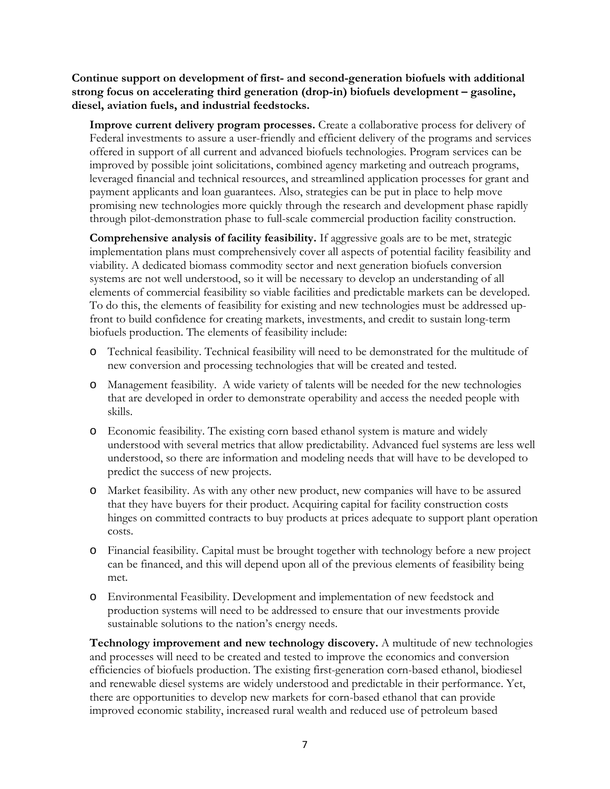**Continue support on development of first- and second-generation biofuels with additional strong focus on accelerating third generation (drop-in) biofuels development – gasoline, diesel, aviation fuels, and industrial feedstocks.**

**Improve current delivery program processes.** Create a collaborative process for delivery of Federal investments to assure a user-friendly and efficient delivery of the programs and services offered in support of all current and advanced biofuels technologies. Program services can be improved by possible joint solicitations, combined agency marketing and outreach programs, leveraged financial and technical resources, and streamlined application processes for grant and payment applicants and loan guarantees. Also, strategies can be put in place to help move promising new technologies more quickly through the research and development phase rapidly through pilot-demonstration phase to full-scale commercial production facility construction.

**Comprehensive analysis of facility feasibility.** If aggressive goals are to be met, strategic implementation plans must comprehensively cover all aspects of potential facility feasibility and viability. A dedicated biomass commodity sector and next generation biofuels conversion systems are not well understood, so it will be necessary to develop an understanding of all elements of commercial feasibility so viable facilities and predictable markets can be developed. To do this, the elements of feasibility for existing and new technologies must be addressed upfront to build confidence for creating markets, investments, and credit to sustain long-term biofuels production. The elements of feasibility include:

- o Technical feasibility. Technical feasibility will need to be demonstrated for the multitude of new conversion and processing technologies that will be created and tested.
- o Management feasibility. A wide variety of talents will be needed for the new technologies that are developed in order to demonstrate operability and access the needed people with skills.
- o Economic feasibility. The existing corn based ethanol system is mature and widely understood with several metrics that allow predictability. Advanced fuel systems are less well understood, so there are information and modeling needs that will have to be developed to predict the success of new projects.
- o Market feasibility. As with any other new product, new companies will have to be assured that they have buyers for their product. Acquiring capital for facility construction costs hinges on committed contracts to buy products at prices adequate to support plant operation costs.
- o Financial feasibility. Capital must be brought together with technology before a new project can be financed, and this will depend upon all of the previous elements of feasibility being met.
- o Environmental Feasibility. Development and implementation of new feedstock and production systems will need to be addressed to ensure that our investments provide sustainable solutions to the nation's energy needs.

**Technology improvement and new technology discovery.** A multitude of new technologies and processes will need to be created and tested to improve the economics and conversion efficiencies of biofuels production. The existing first-generation corn-based ethanol, biodiesel and renewable diesel systems are widely understood and predictable in their performance. Yet, there are opportunities to develop new markets for corn-based ethanol that can provide improved economic stability, increased rural wealth and reduced use of petroleum based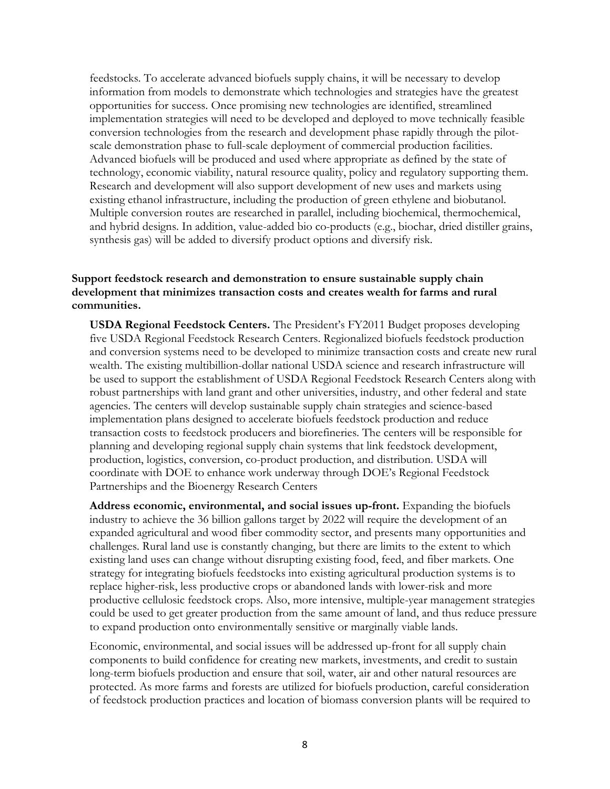feedstocks. To accelerate advanced biofuels supply chains, it will be necessary to develop information from models to demonstrate which technologies and strategies have the greatest opportunities for success. Once promising new technologies are identified, streamlined implementation strategies will need to be developed and deployed to move technically feasible conversion technologies from the research and development phase rapidly through the pilotscale demonstration phase to full-scale deployment of commercial production facilities. Advanced biofuels will be produced and used where appropriate as defined by the state of technology, economic viability, natural resource quality, policy and regulatory supporting them. Research and development will also support development of new uses and markets using existing ethanol infrastructure, including the production of green ethylene and biobutanol. Multiple conversion routes are researched in parallel, including biochemical, thermochemical, and hybrid designs. In addition, value-added bio co-products (e.g., biochar, dried distiller grains, synthesis gas) will be added to diversify product options and diversify risk.

#### **Support feedstock research and demonstration to ensure sustainable supply chain development that minimizes transaction costs and creates wealth for farms and rural communities.**

**USDA Regional Feedstock Centers.** The President's FY2011 Budget proposes developing five USDA Regional Feedstock Research Centers. Regionalized biofuels feedstock production and conversion systems need to be developed to minimize transaction costs and create new rural wealth. The existing multibillion-dollar national USDA science and research infrastructure will be used to support the establishment of USDA Regional Feedstock Research Centers along with robust partnerships with land grant and other universities, industry, and other federal and state agencies. The centers will develop sustainable supply chain strategies and science-based implementation plans designed to accelerate biofuels feedstock production and reduce transaction costs to feedstock producers and biorefineries. The centers will be responsible for planning and developing regional supply chain systems that link feedstock development, production, logistics, conversion, co-product production, and distribution. USDA will coordinate with DOE to enhance work underway through DOE's Regional Feedstock Partnerships and the Bioenergy Research Centers

**Address economic, environmental, and social issues up-front.** Expanding the biofuels industry to achieve the 36 billion gallons target by 2022 will require the development of an expanded agricultural and wood fiber commodity sector, and presents many opportunities and challenges. Rural land use is constantly changing, but there are limits to the extent to which existing land uses can change without disrupting existing food, feed, and fiber markets. One strategy for integrating biofuels feedstocks into existing agricultural production systems is to replace higher-risk, less productive crops or abandoned lands with lower-risk and more productive cellulosic feedstock crops. Also, more intensive, multiple-year management strategies could be used to get greater production from the same amount of land, and thus reduce pressure to expand production onto environmentally sensitive or marginally viable lands.

Economic, environmental, and social issues will be addressed up-front for all supply chain components to build confidence for creating new markets, investments, and credit to sustain long-term biofuels production and ensure that soil, water, air and other natural resources are protected. As more farms and forests are utilized for biofuels production, careful consideration of feedstock production practices and location of biomass conversion plants will be required to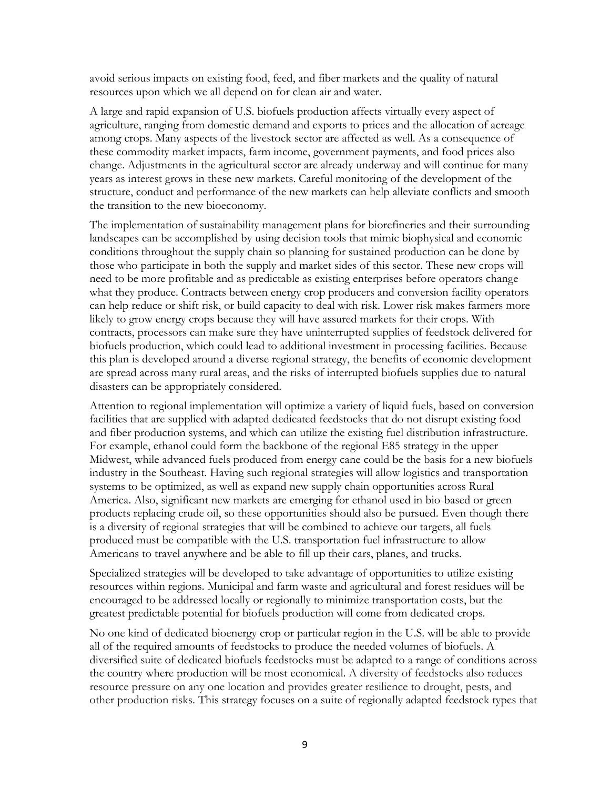avoid serious impacts on existing food, feed, and fiber markets and the quality of natural resources upon which we all depend on for clean air and water.

A large and rapid expansion of U.S. biofuels production affects virtually every aspect of agriculture, ranging from domestic demand and exports to prices and the allocation of acreage among crops. Many aspects of the livestock sector are affected as well. As a consequence of these commodity market impacts, farm income, government payments, and food prices also change. Adjustments in the agricultural sector are already underway and will continue for many years as interest grows in these new markets. Careful monitoring of the development of the structure, conduct and performance of the new markets can help alleviate conflicts and smooth the transition to the new bioeconomy.

The implementation of sustainability management plans for biorefineries and their surrounding landscapes can be accomplished by using decision tools that mimic biophysical and economic conditions throughout the supply chain so planning for sustained production can be done by those who participate in both the supply and market sides of this sector. These new crops will need to be more profitable and as predictable as existing enterprises before operators change what they produce. Contracts between energy crop producers and conversion facility operators can help reduce or shift risk, or build capacity to deal with risk. Lower risk makes farmers more likely to grow energy crops because they will have assured markets for their crops. With contracts, processors can make sure they have uninterrupted supplies of feedstock delivered for biofuels production, which could lead to additional investment in processing facilities. Because this plan is developed around a diverse regional strategy, the benefits of economic development are spread across many rural areas, and the risks of interrupted biofuels supplies due to natural disasters can be appropriately considered.

Attention to regional implementation will optimize a variety of liquid fuels, based on conversion facilities that are supplied with adapted dedicated feedstocks that do not disrupt existing food and fiber production systems, and which can utilize the existing fuel distribution infrastructure. For example, ethanol could form the backbone of the regional E85 strategy in the upper Midwest, while advanced fuels produced from energy cane could be the basis for a new biofuels industry in the Southeast. Having such regional strategies will allow logistics and transportation systems to be optimized, as well as expand new supply chain opportunities across Rural America. Also, significant new markets are emerging for ethanol used in bio-based or green products replacing crude oil, so these opportunities should also be pursued. Even though there is a diversity of regional strategies that will be combined to achieve our targets, all fuels produced must be compatible with the U.S. transportation fuel infrastructure to allow Americans to travel anywhere and be able to fill up their cars, planes, and trucks.

Specialized strategies will be developed to take advantage of opportunities to utilize existing resources within regions. Municipal and farm waste and agricultural and forest residues will be encouraged to be addressed locally or regionally to minimize transportation costs, but the greatest predictable potential for biofuels production will come from dedicated crops.

No one kind of dedicated bioenergy crop or particular region in the U.S. will be able to provide all of the required amounts of feedstocks to produce the needed volumes of biofuels. A diversified suite of dedicated biofuels feedstocks must be adapted to a range of conditions across the country where production will be most economical. A diversity of feedstocks also reduces resource pressure on any one location and provides greater resilience to drought, pests, and other production risks. This strategy focuses on a suite of regionally adapted feedstock types that